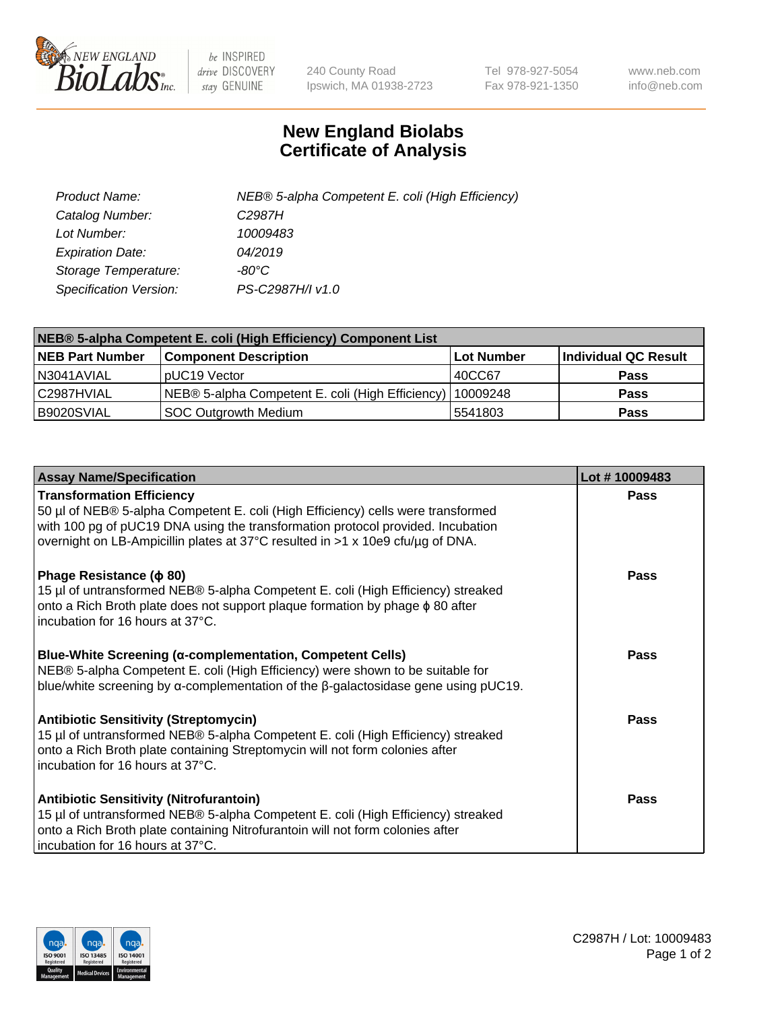

 $be$  INSPIRED drive DISCOVERY stay GENUINE

240 County Road Ipswich, MA 01938-2723 Tel 978-927-5054 Fax 978-921-1350 www.neb.com info@neb.com

## **New England Biolabs Certificate of Analysis**

| Product Name:           | NEB® 5-alpha Competent E. coli (High Efficiency) |
|-------------------------|--------------------------------------------------|
| Catalog Number:         | C <sub>2987</sub> H                              |
| Lot Number:             | 10009483                                         |
| <b>Expiration Date:</b> | 04/2019                                          |
| Storage Temperature:    | -80°C                                            |
| Specification Version:  | PS-C2987H/I v1.0                                 |

| NEB® 5-alpha Competent E. coli (High Efficiency) Component List |                                                  |                   |                      |  |
|-----------------------------------------------------------------|--------------------------------------------------|-------------------|----------------------|--|
| <b>NEB Part Number</b>                                          | <b>Component Description</b>                     | <b>Lot Number</b> | Individual QC Result |  |
| N3041AVIAL                                                      | pUC19 Vector                                     | 40CC67            | <b>Pass</b>          |  |
| C2987HVIAL                                                      | NEB® 5-alpha Competent E. coli (High Efficiency) | 10009248          | <b>Pass</b>          |  |
| B9020SVIAL                                                      | <b>SOC Outgrowth Medium</b>                      | 5541803           | <b>Pass</b>          |  |

| <b>Assay Name/Specification</b>                                                                                                                                                                                                                                                           | Lot #10009483 |
|-------------------------------------------------------------------------------------------------------------------------------------------------------------------------------------------------------------------------------------------------------------------------------------------|---------------|
| <b>Transformation Efficiency</b><br>50 µl of NEB® 5-alpha Competent E. coli (High Efficiency) cells were transformed<br>with 100 pg of pUC19 DNA using the transformation protocol provided. Incubation<br>overnight on LB-Ampicillin plates at 37°C resulted in >1 x 10e9 cfu/µg of DNA. | Pass          |
| Phage Resistance ( $\phi$ 80)<br>15 µl of untransformed NEB® 5-alpha Competent E. coli (High Efficiency) streaked<br>onto a Rich Broth plate does not support plaque formation by phage $\phi$ 80 after<br>incubation for 16 hours at 37°C.                                               | Pass          |
| Blue-White Screening (α-complementation, Competent Cells)<br>NEB® 5-alpha Competent E. coli (High Efficiency) were shown to be suitable for<br>blue/white screening by $\alpha$ -complementation of the $\beta$ -galactosidase gene using pUC19.                                          | <b>Pass</b>   |
| <b>Antibiotic Sensitivity (Streptomycin)</b><br>15 µl of untransformed NEB® 5-alpha Competent E. coli (High Efficiency) streaked<br>onto a Rich Broth plate containing Streptomycin will not form colonies after<br>incubation for 16 hours at 37°C.                                      | Pass          |
| <b>Antibiotic Sensitivity (Nitrofurantoin)</b><br>15 µl of untransformed NEB® 5-alpha Competent E. coli (High Efficiency) streaked<br>onto a Rich Broth plate containing Nitrofurantoin will not form colonies after<br>incubation for 16 hours at 37°C.                                  | Pass          |